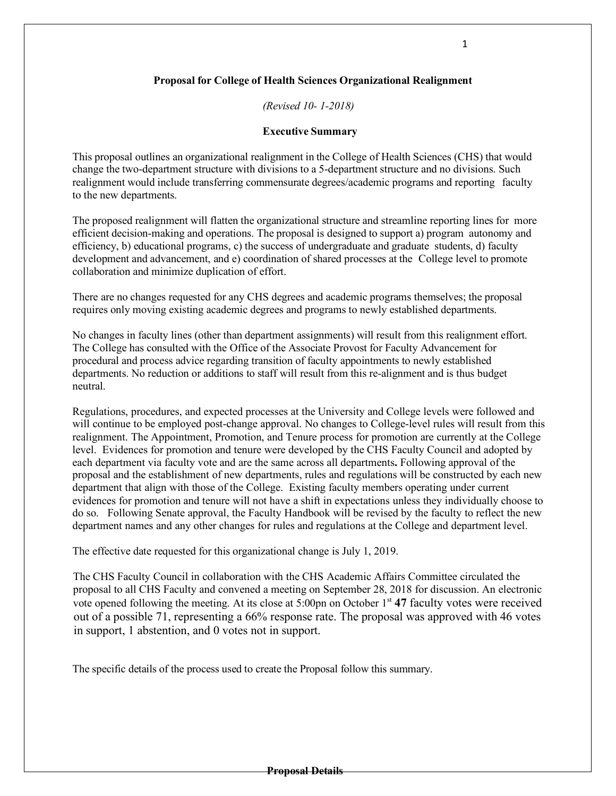# **Proposal for College of Health Sciences Organizational Realignment**

*(Revised 10- 1-2018)*

## **Executive Summary**

This proposal outlines an organizational realignment in the College of Health Sciences (CHS) that would change the two-department structure with divisions to a 5-department structure and no divisions. Such realignment would include transferring commensurate degrees/academic programs and reporting faculty to the new departments.

The proposed realignment will flatten the organizational structure and streamline reporting lines for more efficient decision-making and operations. The proposal is designed to support a) program autonomy and efficiency, b) educational programs, c) the success of undergraduate and graduate students, d) faculty development and advancement, and e) coordination of shared processes at the College level to promote collaboration and minimize duplication of effort.

There are no changes requested for any CHS degrees and academic programs themselves; the proposal requires only moving existing academic degrees and programs to newly established departments.

No changes in faculty lines (other than department assignments) will result from this realignment effort. The College has consulted with the Office of the Associate Provost for Faculty Advancement for procedural and process advice regarding transition of faculty appointments to newly established departments. No reduction or additions to staff will result from this re-alignment and is thus budget neutral.

Regulations, procedures, and expected processes at the University and College levels were followed and will continue to be employed post-change approval. No changes to College-level rules will result from this realignment. The Appointment, Promotion, and Tenure process for promotion are currently at the College level. Evidences for promotion and tenure were developed by the CHS Faculty Council and adopted by each department via faculty vote and are the same across all departments**.** Following approval of the proposal and the establishment of new departments, rules and regulations will be constructed by each new department that align with those of the College. Existing faculty members operating under current evidences for promotion and tenure will not have a shift in expectations unless they individually choose to do so. Following Senate approval, the Faculty Handbook will be revised by the faculty to reflect the new department names and any other changes for rules and regulations at the College and department level.

The effective date requested for this organizational change is July 1, 2019.

The CHS Faculty Council in collaboration with the CHS Academic Affairs Committee circulated the proposal to all CHS Faculty and convened a meeting on September 28, 2018 for discussion. An electronic vote opened following the meeting. At its close at 5:00pn on October 1<sup>st</sup> 47 faculty votes were received out of a possible 71, representing a 66% response rate. The proposal was approved with 46 votes in support, 1 abstention, and 0 votes not in support.

The specific details of the process used to create the Proposal follow this summary.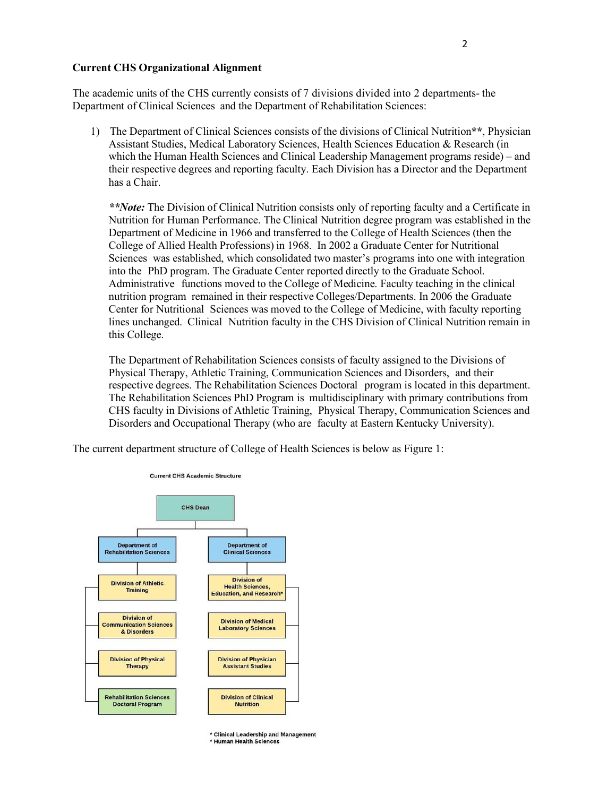### **Current CHS Organizational Alignment**

The academic units of the CHS currently consists of 7 divisions divided into 2 departments- the Department of Clinical Sciences and the Department of Rehabilitation Sciences:

1) The Department of Clinical Sciences consists of the divisions of Clinical Nutrition**\*\***, Physician Assistant Studies, Medical Laboratory Sciences, Health Sciences Education & Research (in which the Human Health Sciences and Clinical Leadership Management programs reside) – and their respective degrees and reporting faculty. Each Division has a Director and the Department has a Chair.

*\*\*Note:* The Division of Clinical Nutrition consists only of reporting faculty and a Certificate in Nutrition for Human Performance. The Clinical Nutrition degree program was established in the Department of Medicine in 1966 and transferred to the College of Health Sciences (then the College of Allied Health Professions) in 1968. In 2002 a Graduate Center for Nutritional Sciences was established, which consolidated two master's programs into one with integration into the PhD program. The Graduate Center reported directly to the Graduate School. Administrative functions moved to the College of Medicine. Faculty teaching in the clinical nutrition program remained in their respective Colleges/Departments. In 2006 the Graduate Center for Nutritional Sciences was moved to the College of Medicine, with faculty reporting lines unchanged. Clinical Nutrition faculty in the CHS Division of Clinical Nutrition remain in this College.

The Department of Rehabilitation Sciences consists of faculty assigned to the Divisions of Physical Therapy, Athletic Training, Communication Sciences and Disorders, and their respective degrees. The Rehabilitation Sciences Doctoral program is located in this department. The Rehabilitation Sciences PhD Program is multidisciplinary with primary contributions from CHS faculty in Divisions of Athletic Training, Physical Therapy, Communication Sciences and Disorders and Occupational Therapy (who are faculty at Eastern Kentucky University).

The current department structure of College of Health Sciences is below as Figure 1:



\* Clinical Leadership and Management \* Human Health Sciences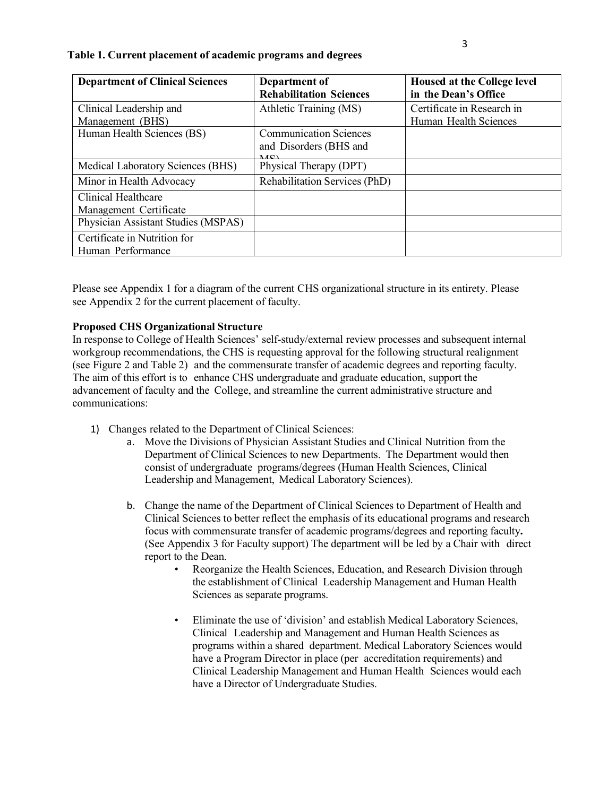| <b>Department of Clinical Sciences</b> | Department of                        | <b>Housed at the College level</b> |
|----------------------------------------|--------------------------------------|------------------------------------|
|                                        | <b>Rehabilitation Sciences</b>       | in the Dean's Office               |
| Clinical Leadership and                | Athletic Training (MS)               | Certificate in Research in         |
| Management (BHS)                       |                                      | Human Health Sciences              |
| Human Health Sciences (BS)             | <b>Communication Sciences</b>        |                                    |
|                                        | and Disorders (BHS and<br>MCD        |                                    |
| Medical Laboratory Sciences (BHS)      | Physical Therapy (DPT)               |                                    |
| Minor in Health Advocacy               | <b>Rehabilitation Services (PhD)</b> |                                    |
| Clinical Healthcare                    |                                      |                                    |
| Management Certificate                 |                                      |                                    |
| Physician Assistant Studies (MSPAS)    |                                      |                                    |
| Certificate in Nutrition for           |                                      |                                    |
| Human Performance                      |                                      |                                    |

#### **Table 1. Current placement of academic programs and degrees**

Please see Appendix 1 for a diagram of the current CHS organizational structure in its entirety. Please see Appendix 2 for the current placement of faculty.

### **Proposed CHS Organizational Structure**

In response to College of Health Sciences' self-study/external review processes and subsequent internal workgroup recommendations, the CHS is requesting approval for the following structural realignment (see Figure 2 and Table 2) and the commensurate transfer of academic degrees and reporting faculty. The aim of this effort is to enhance CHS undergraduate and graduate education, support the advancement of faculty and the College, and streamline the current administrative structure and communications:

- 1) Changes related to the Department of Clinical Sciences:
	- a. Move the Divisions of Physician Assistant Studies and Clinical Nutrition from the Department of Clinical Sciences to new Departments. The Department would then consist of undergraduate programs/degrees (Human Health Sciences, Clinical Leadership and Management, Medical Laboratory Sciences).
	- b. Change the name of the Department of Clinical Sciences to Department of Health and Clinical Sciences to better reflect the emphasis of its educational programs and research focus with commensurate transfer of academic programs/degrees and reporting faculty**.** (See Appendix 3 for Faculty support) The department will be led by a Chair with direct report to the Dean.
		- Reorganize the Health Sciences, Education, and Research Division through the establishment of Clinical Leadership Management and Human Health Sciences as separate programs.
		- Eliminate the use of 'division' and establish Medical Laboratory Sciences, Clinical Leadership and Management and Human Health Sciences as programs within a shared department. Medical Laboratory Sciences would have a Program Director in place (per accreditation requirements) and Clinical Leadership Management and Human Health Sciences would each have a Director of Undergraduate Studies.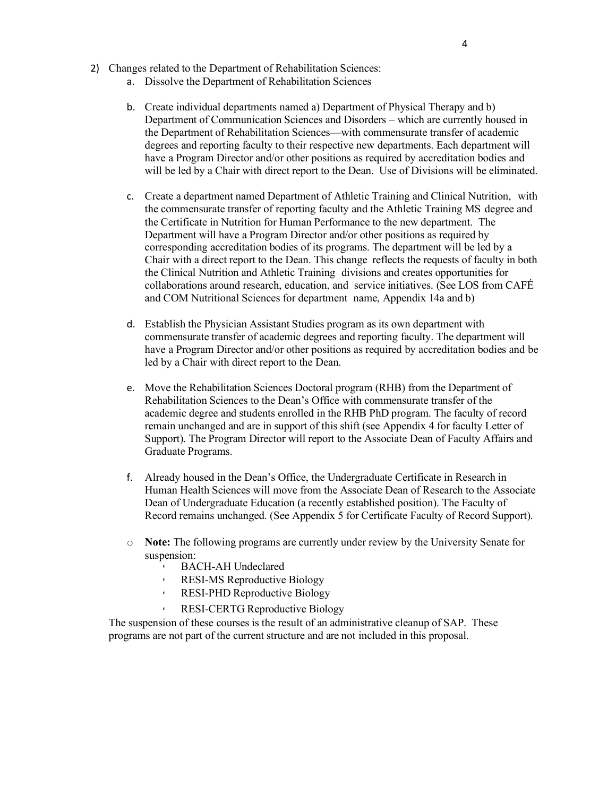- 2) Changes related to the Department of Rehabilitation Sciences:
	- a. Dissolve the Department of Rehabilitation Sciences
	- b. Create individual departments named a) Department of Physical Therapy and b) Department of Communication Sciences and Disorders – which are currently housed in the Department of Rehabilitation Sciences—with commensurate transfer of academic degrees and reporting faculty to their respective new departments. Each department will have a Program Director and/or other positions as required by accreditation bodies and will be led by a Chair with direct report to the Dean. Use of Divisions will be eliminated.
	- c. Create a department named Department of Athletic Training and Clinical Nutrition, with the commensurate transfer of reporting faculty and the Athletic Training MS degree and the Certificate in Nutrition for Human Performance to the new department. The Department will have a Program Director and/or other positions as required by corresponding accreditation bodies of its programs. The department will be led by a Chair with a direct report to the Dean. This change reflects the requests of faculty in both the Clinical Nutrition and Athletic Training divisions and creates opportunities for collaborations around research, education, and service initiatives. (See LOS from CAFÉ and COM Nutritional Sciences for department name, Appendix 14a and b)
	- d. Establish the Physician Assistant Studies program as its own department with commensurate transfer of academic degrees and reporting faculty. The department will have a Program Director and/or other positions as required by accreditation bodies and be led by a Chair with direct report to the Dean.
	- e. Move the Rehabilitation Sciences Doctoral program (RHB) from the Department of Rehabilitation Sciences to the Dean's Office with commensurate transfer of the academic degree and students enrolled in the RHB PhD program. The faculty of record remain unchanged and are in support of this shift (see Appendix 4 for faculty Letter of Support). The Program Director will report to the Associate Dean of Faculty Affairs and Graduate Programs.
	- f. Already housed in the Dean's Office, the Undergraduate Certificate in Research in Human Health Sciences will move from the Associate Dean of Research to the Associate Dean of Undergraduate Education (a recently established position). The Faculty of Record remains unchanged. (See Appendix 5 for Certificate Faculty of Record Support).
	- o **Note:** The following programs are currently under review by the University Senate for suspension:
		- **BACH-AH Undeclared**
		- RESI-MS Reproductive Biology
		- RESI-PHD Reproductive Biology
		- RESI-CERTG Reproductive Biology

The suspension of these courses is the result of an administrative cleanup of SAP. These programs are not part of the current structure and are not included in this proposal.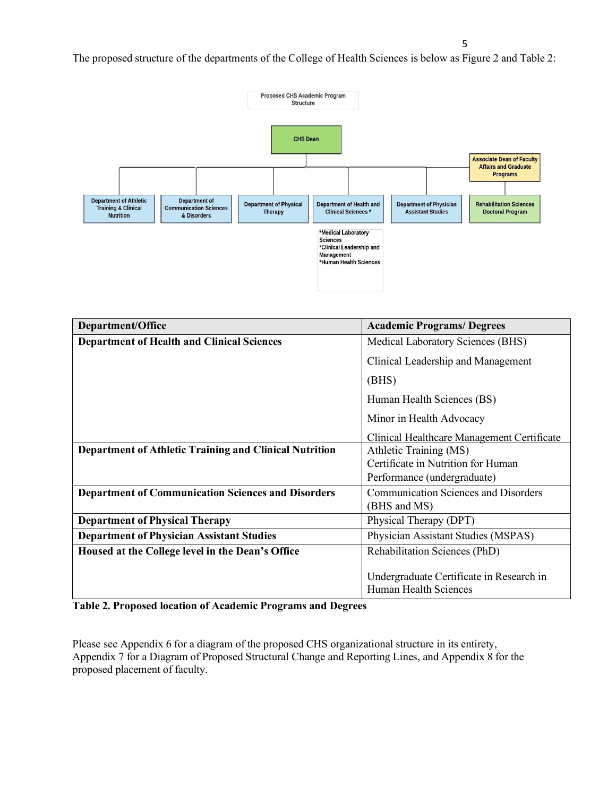The proposed structure of the departments of the College of Health Sciences is below as Figure 2 and Table 2:



| Department/Office                                             | <b>Academic Programs/Degrees</b>            |  |  |
|---------------------------------------------------------------|---------------------------------------------|--|--|
| <b>Department of Health and Clinical Sciences</b>             | Medical Laboratory Sciences (BHS)           |  |  |
|                                                               | Clinical Leadership and Management          |  |  |
|                                                               | (BHS)                                       |  |  |
|                                                               | Human Health Sciences (BS)                  |  |  |
|                                                               | Minor in Health Advocacy                    |  |  |
|                                                               | Clinical Healthcare Management Certificate  |  |  |
| <b>Department of Athletic Training and Clinical Nutrition</b> | Athletic Training (MS)                      |  |  |
|                                                               | Certificate in Nutrition for Human          |  |  |
|                                                               | Performance (undergraduate)                 |  |  |
| <b>Department of Communication Sciences and Disorders</b>     | <b>Communication Sciences and Disorders</b> |  |  |
|                                                               | (BHS and MS)                                |  |  |
| <b>Department of Physical Therapy</b>                         | Physical Therapy (DPT)                      |  |  |
| <b>Department of Physician Assistant Studies</b>              | Physician Assistant Studies (MSPAS)         |  |  |
| Housed at the College level in the Dean's Office              | Rehabilitation Sciences (PhD)               |  |  |
|                                                               |                                             |  |  |
|                                                               | Undergraduate Certificate in Research in    |  |  |
|                                                               | Human Health Sciences                       |  |  |

**Table 2. Proposed location of Academic Programs and Degrees**

Please see Appendix 6 for a diagram of the proposed CHS organizational structure in its entirety, Appendix 7 for a Diagram of Proposed Structural Change and Reporting Lines, and Appendix 8 for the proposed placement of faculty.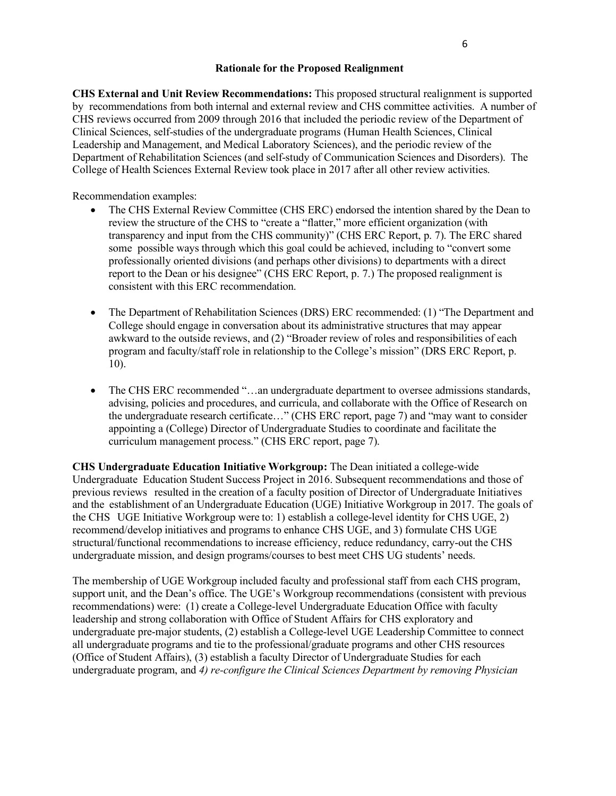## **Rationale for the Proposed Realignment**

**CHS External and Unit Review Recommendations:** This proposed structural realignment is supported by recommendations from both internal and external review and CHS committee activities. A number of CHS reviews occurred from 2009 through 2016 that included the periodic review of the Department of Clinical Sciences, self-studies of the undergraduate programs (Human Health Sciences, Clinical Leadership and Management, and Medical Laboratory Sciences), and the periodic review of the Department of Rehabilitation Sciences (and self-study of Communication Sciences and Disorders). The College of Health Sciences External Review took place in 2017 after all other review activities.

Recommendation examples:

- The CHS External Review Committee (CHS ERC) endorsed the intention shared by the Dean to review the structure of the CHS to "create a "flatter," more efficient organization (with transparency and input from the CHS community)" (CHS ERC Report, p. 7). The ERC shared some possible ways through which this goal could be achieved, including to "convert some professionally oriented divisions (and perhaps other divisions) to departments with a direct report to the Dean or his designee" (CHS ERC Report, p. 7.) The proposed realignment is consistent with this ERC recommendation.
- The Department of Rehabilitation Sciences (DRS) ERC recommended: (1) "The Department and College should engage in conversation about its administrative structures that may appear awkward to the outside reviews, and (2) "Broader review of roles and responsibilities of each program and faculty/staff role in relationship to the College's mission" (DRS ERC Report, p. 10).
- The CHS ERC recommended "...an undergraduate department to oversee admissions standards, advising, policies and procedures, and curricula, and collaborate with the Office of Research on the undergraduate research certificate…" (CHS ERC report, page 7) and "may want to consider appointing a (College) Director of Undergraduate Studies to coordinate and facilitate the curriculum management process." (CHS ERC report, page 7).

**CHS Undergraduate Education Initiative Workgroup:** The Dean initiated a college-wide Undergraduate Education Student Success Project in 2016. Subsequent recommendations and those of previous reviews resulted in the creation of a faculty position of Director of Undergraduate Initiatives and the establishment of an Undergraduate Education (UGE) Initiative Workgroup in 2017. The goals of the CHS UGE Initiative Workgroup were to: 1) establish a college-level identity for CHS UGE, 2) recommend/develop initiatives and programs to enhance CHS UGE, and 3) formulate CHS UGE structural/functional recommendations to increase efficiency, reduce redundancy, carry-out the CHS undergraduate mission, and design programs/courses to best meet CHS UG students' needs.

The membership of UGE Workgroup included faculty and professional staff from each CHS program, support unit, and the Dean's office. The UGE's Workgroup recommendations (consistent with previous recommendations) were: (1) create a College-level Undergraduate Education Office with faculty leadership and strong collaboration with Office of Student Affairs for CHS exploratory and undergraduate pre-major students, (2) establish a College-level UGE Leadership Committee to connect all undergraduate programs and tie to the professional/graduate programs and other CHS resources (Office of Student Affairs), (3) establish a faculty Director of Undergraduate Studies for each undergraduate program, and *4) re-configure the Clinical Sciences Department by removing Physician*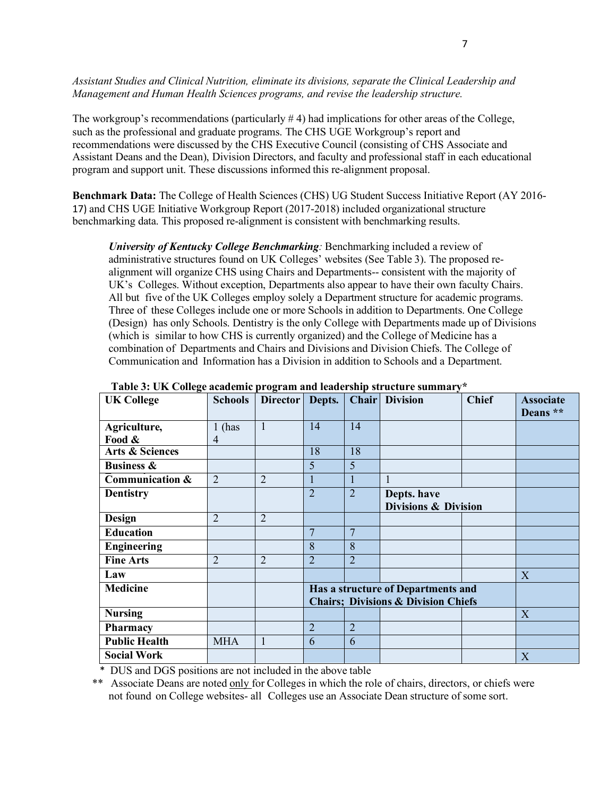*Assistant Studies and Clinical Nutrition, eliminate its divisions, separate the Clinical Leadership and Management and Human Health Sciences programs, and revise the leadership structure.*

The workgroup's recommendations (particularly # 4) had implications for other areas of the College, such as the professional and graduate programs. The CHS UGE Workgroup's report and recommendations were discussed by the CHS Executive Council (consisting of CHS Associate and Assistant Deans and the Dean), Division Directors, and faculty and professional staff in each educational program and support unit. These discussions informed this re-alignment proposal.

**Benchmark Data:** The College of Health Sciences (CHS) UG Student Success Initiative Report (AY 2016- 17) and CHS UGE Initiative Workgroup Report (2017-2018) included organizational structure benchmarking data. This proposed re-alignment is consistent with benchmarking results.

*University of Kentucky College Benchmarking:* Benchmarking included a review of administrative structures found on UK Colleges' websites (See Table 3). The proposed realignment will organize CHS using Chairs and Departments-- consistent with the majority of UK's Colleges. Without exception, Departments also appear to have their own faculty Chairs. All but five of the UK Colleges employ solely a Department structure for academic programs. Three of these Colleges include one or more Schools in addition to Departments. One College (Design) has only Schools. Dentistry is the only College with Departments made up of Divisions (which is similar to how CHS is currently organized) and the College of Medicine has a combination of Departments and Chairs and Divisions and Division Chiefs. The College of Communication and Information has a Division in addition to Schools and a Department.

| <b>UK College</b>          | <b>Schools</b> | Director       | Depts.                                         | Chair          | <b>Division</b>                 | <b>Chief</b> | <b>Associate</b><br>Deans ** |
|----------------------------|----------------|----------------|------------------------------------------------|----------------|---------------------------------|--------------|------------------------------|
| Agriculture,               | $1$ (has       | 1              | 14                                             | 14             |                                 |              |                              |
| Food &                     | 4              |                |                                                |                |                                 |              |                              |
| <b>Arts &amp; Sciences</b> |                |                | 18                                             | 18             |                                 |              |                              |
| <b>Business &amp;</b>      |                |                | 5                                              | $\overline{5}$ |                                 |              |                              |
| Communication &            | $\overline{2}$ | $\overline{2}$ |                                                | 1              |                                 |              |                              |
| <b>Dentistry</b>           |                |                | $\overline{2}$                                 | $\overline{2}$ | Depts. have                     |              |                              |
|                            |                |                |                                                |                | <b>Divisions &amp; Division</b> |              |                              |
| <b>Design</b>              | $\overline{2}$ | $\overline{2}$ |                                                |                |                                 |              |                              |
| <b>Education</b>           |                |                | 7                                              | $\overline{7}$ |                                 |              |                              |
| <b>Engineering</b>         |                |                | 8                                              | 8              |                                 |              |                              |
| <b>Fine Arts</b>           | $\overline{2}$ | $\overline{2}$ | $\overline{2}$                                 | $\overline{2}$ |                                 |              |                              |
| Law                        |                |                |                                                |                |                                 |              | X                            |
| <b>Medicine</b>            |                |                | Has a structure of Departments and             |                |                                 |              |                              |
|                            |                |                | <b>Chairs; Divisions &amp; Division Chiefs</b> |                |                                 |              |                              |
| <b>Nursing</b>             |                |                |                                                |                |                                 |              | X                            |
| <b>Pharmacy</b>            |                |                | $\overline{2}$                                 | $\overline{2}$ |                                 |              |                              |
| <b>Public Health</b>       | <b>MHA</b>     | $\mathbf{1}$   | 6                                              | 6              |                                 |              |                              |
| <b>Social Work</b>         |                |                |                                                |                |                                 |              | X                            |

**Table 3: UK College academic program and leadership structure summary\***

\* DUS and DGS positions are not included in the above table

\*\* Associate Deans are noted only for Colleges in which the role of chairs, directors, or chiefs were not found on College websites- all Colleges use an Associate Dean structure of some sort.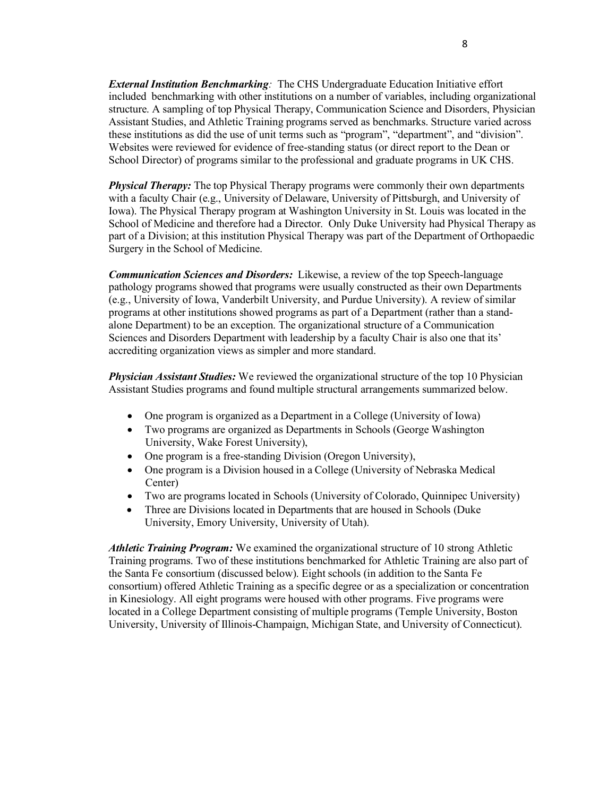*External Institution Benchmarking:* The CHS Undergraduate Education Initiative effort included benchmarking with other institutions on a number of variables, including organizational structure. A sampling of top Physical Therapy, Communication Science and Disorders, Physician Assistant Studies, and Athletic Training programs served as benchmarks. Structure varied across these institutions as did the use of unit terms such as "program", "department", and "division". Websites were reviewed for evidence of free-standing status (or direct report to the Dean or School Director) of programs similar to the professional and graduate programs in UK CHS.

*Physical Therapy:* The top Physical Therapy programs were commonly their own departments with a faculty Chair (e.g., University of Delaware, University of Pittsburgh, and University of Iowa). The Physical Therapy program at Washington University in St. Louis was located in the School of Medicine and therefore had a Director. Only Duke University had Physical Therapy as part of a Division; at this institution Physical Therapy was part of the Department of Orthopaedic Surgery in the School of Medicine.

*Communication Sciences and Disorders:* Likewise, a review of the top Speech-language pathology programs showed that programs were usually constructed as their own Departments (e.g., University of Iowa, Vanderbilt University, and Purdue University). A review of similar programs at other institutions showed programs as part of a Department (rather than a standalone Department) to be an exception. The organizational structure of a Communication Sciences and Disorders Department with leadership by a faculty Chair is also one that its' accrediting organization views as simpler and more standard.

*Physician Assistant Studies:* We reviewed the organizational structure of the top 10 Physician Assistant Studies programs and found multiple structural arrangements summarized below.

- One program is organized as a Department in a College (University of Iowa)
- Two programs are organized as Departments in Schools (George Washington University, Wake Forest University),
- One program is a free-standing Division (Oregon University),
- One program is a Division housed in a College (University of Nebraska Medical Center)
- Two are programs located in Schools (University of Colorado, Quinnipec University)
- Three are Divisions located in Departments that are housed in Schools (Duke University, Emory University, University of Utah).

*Athletic Training Program:* We examined the organizational structure of 10 strong Athletic Training programs. Two of these institutions benchmarked for Athletic Training are also part of the Santa Fe consortium (discussed below). Eight schools (in addition to the Santa Fe consortium) offered Athletic Training as a specific degree or as a specialization or concentration in Kinesiology. All eight programs were housed with other programs. Five programs were located in a College Department consisting of multiple programs (Temple University, Boston University, University of Illinois-Champaign, Michigan State, and University of Connecticut).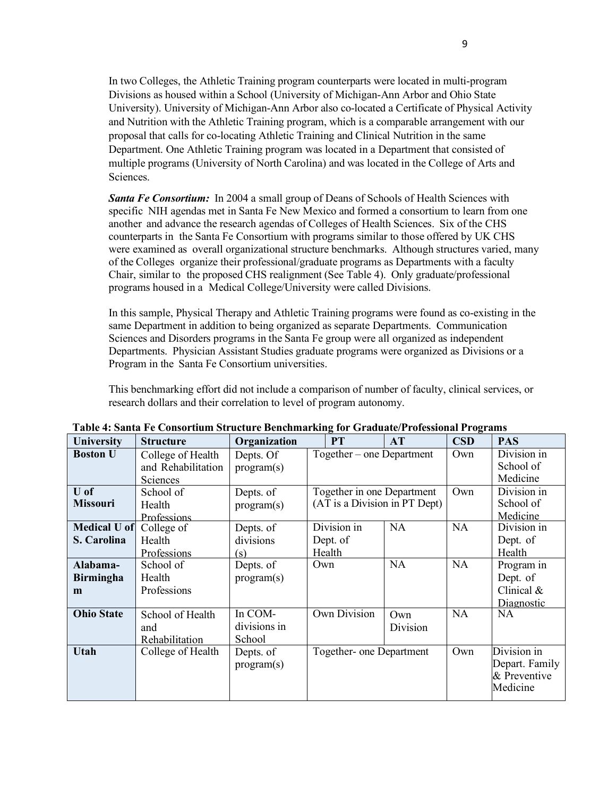In two Colleges, the Athletic Training program counterparts were located in multi-program Divisions as housed within a School (University of Michigan-Ann Arbor and Ohio State University). University of Michigan-Ann Arbor also co-located a Certificate of Physical Activity and Nutrition with the Athletic Training program, which is a comparable arrangement with our proposal that calls for co-locating Athletic Training and Clinical Nutrition in the same Department. One Athletic Training program was located in a Department that consisted of multiple programs (University of North Carolina) and was located in the College of Arts and Sciences.

*Santa Fe Consortium:* In 2004 a small group of Deans of Schools of Health Sciences with specific NIH agendas met in Santa Fe New Mexico and formed a consortium to learn from one another and advance the research agendas of Colleges of Health Sciences. Six of the CHS counterparts in the Santa Fe Consortium with programs similar to those offered by UK CHS were examined as overall organizational structure benchmarks. Although structures varied, many of the Colleges organize their professional/graduate programs as Departments with a faculty Chair, similar to the proposed CHS realignment (See Table 4). Only graduate/professional programs housed in a Medical College/University were called Divisions.

In this sample, Physical Therapy and Athletic Training programs were found as co-existing in the same Department in addition to being organized as separate Departments. Communication Sciences and Disorders programs in the Santa Fe group were all organized as independent Departments. Physician Assistant Studies graduate programs were organized as Divisions or a Program in the Santa Fe Consortium universities.

This benchmarking effort did not include a comparison of number of faculty, clinical services, or research dollars and their correlation to level of program autonomy.

| <b>University</b>         | <b>Structure</b>                   | Organization            | PT                                                          | AT        | CSD       | <b>PAS</b>                           |
|---------------------------|------------------------------------|-------------------------|-------------------------------------------------------------|-----------|-----------|--------------------------------------|
| <b>Boston U</b>           | College of Health                  | Depts. Of               | Together – one Department                                   |           | Own       | Division in                          |
|                           | and Rehabilitation<br>Sciences     | program(s)              |                                                             |           |           | School of<br>Medicine                |
| $U$ of<br><b>Missouri</b> | School of<br>Health<br>Professions | Depts. of<br>program(s) | Together in one Department<br>(AT is a Division in PT Dept) |           | Own       | Division in<br>School of<br>Medicine |
| <b>Medical U of</b>       | College of                         | Depts. of               | Division in                                                 | <b>NA</b> | <b>NA</b> | Division in                          |
| S. Carolina               | Health                             | divisions               | Dept. of                                                    |           |           | Dept. of                             |
|                           | Professions                        | (s)                     | Health<br>Own                                               | <b>NA</b> | <b>NA</b> | Health                               |
| Alabama-                  | School of                          | Depts. of               |                                                             |           |           | Program in                           |
| <b>Birmingha</b>          | Health<br>Professions              | program(s)              |                                                             |           |           | Dept. of<br>Clinical $&$             |
| m                         |                                    |                         |                                                             |           |           | Diagnostic                           |
| <b>Ohio State</b>         | School of Health                   | In COM-                 | <b>Own Division</b>                                         | Own       | NA        | NA.                                  |
|                           | and                                | divisions in            |                                                             | Division  |           |                                      |
|                           | Rehabilitation                     | School                  |                                                             |           |           |                                      |
| <b>Utah</b>               | College of Health                  | Depts. of               | Together- one Department                                    |           | Own       | Division in<br>Depart. Family        |
|                           |                                    | program(s)              |                                                             |           |           | & Preventive<br>Medicine             |

**Table 4: Santa Fe Consortium Structure Benchmarking for Graduate/Professional Programs**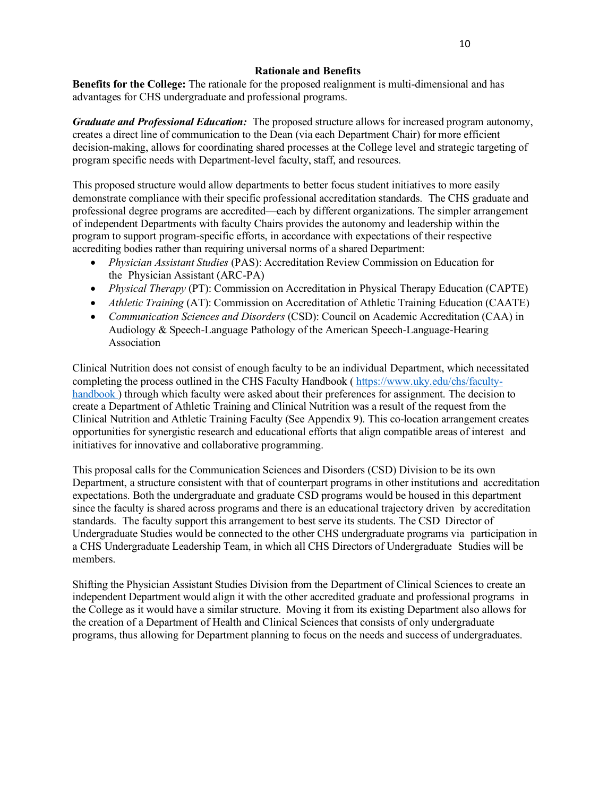## **Rationale and Benefits**

**Benefits for the College:** The rationale for the proposed realignment is multi-dimensional and has advantages for CHS undergraduate and professional programs.

*Graduate and Professional Education:* The proposed structure allows for increased program autonomy, creates a direct line of communication to the Dean (via each Department Chair) for more efficient decision-making, allows for coordinating shared processes at the College level and strategic targeting of program specific needs with Department-level faculty, staff, and resources.

This proposed structure would allow departments to better focus student initiatives to more easily demonstrate compliance with their specific professional accreditation standards. The CHS graduate and professional degree programs are accredited—each by different organizations. The simpler arrangement of independent Departments with faculty Chairs provides the autonomy and leadership within the program to support program-specific efforts, in accordance with expectations of their respective accrediting bodies rather than requiring universal norms of a shared Department:

- *Physician Assistant Studies* (PAS): Accreditation Review Commission on Education for the Physician Assistant (ARC-PA)
- *Physical Therapy* (PT): Commission on Accreditation in Physical Therapy Education (CAPTE)
- *Athletic Training* (AT): Commission on Accreditation of Athletic Training Education (CAATE)
- *Communication Sciences and Disorders* (CSD): Council on Academic Accreditation (CAA) in Audiology & Speech-Language Pathology of the American Speech-Language-Hearing Association

Clinical Nutrition does not consist of enough faculty to be an individual Department, which necessitated completing the process outlined in the CHS Faculty Handbook ( https://www.uky.edu/chs/facultyhandbook) through which faculty were asked about their preferences for assignment. The decision to create a Department of Athletic Training and Clinical Nutrition was a result of the request from the Clinical Nutrition and Athletic Training Faculty (See Appendix 9). This co-location arrangement creates opportunities for synergistic research and educational efforts that align compatible areas of interest and initiatives for innovative and collaborative programming.

This proposal calls for the Communication Sciences and Disorders (CSD) Division to be its own Department, a structure consistent with that of counterpart programs in other institutions and accreditation expectations. Both the undergraduate and graduate CSD programs would be housed in this department since the faculty is shared across programs and there is an educational trajectory driven by accreditation standards. The faculty support this arrangement to best serve its students. The CSD Director of Undergraduate Studies would be connected to the other CHS undergraduate programs via participation in a CHS Undergraduate Leadership Team, in which all CHS Directors of Undergraduate Studies will be members.

Shifting the Physician Assistant Studies Division from the Department of Clinical Sciences to create an independent Department would align it with the other accredited graduate and professional programs in the College as it would have a similar structure. Moving it from its existing Department also allows for the creation of a Department of Health and Clinical Sciences that consists of only undergraduate programs, thus allowing for Department planning to focus on the needs and success of undergraduates.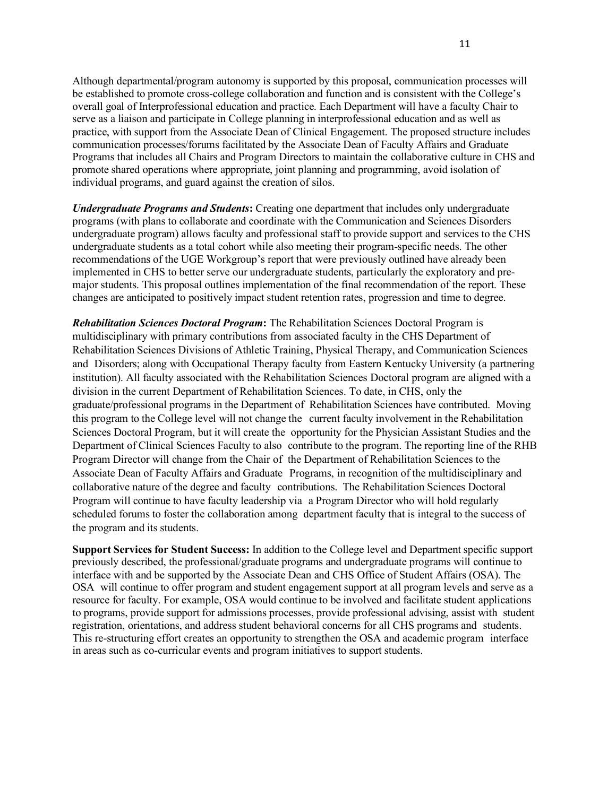Although departmental/program autonomy is supported by this proposal, communication processes will be established to promote cross-college collaboration and function and is consistent with the College's overall goal of Interprofessional education and practice. Each Department will have a faculty Chair to serve as a liaison and participate in College planning in interprofessional education and as well as practice, with support from the Associate Dean of Clinical Engagement. The proposed structure includes communication processes/forums facilitated by the Associate Dean of Faculty Affairs and Graduate Programs that includes all Chairs and Program Directors to maintain the collaborative culture in CHS and promote shared operations where appropriate, joint planning and programming, avoid isolation of individual programs, and guard against the creation of silos.

*Undergraduate Programs and Students***:** Creating one department that includes only undergraduate programs (with plans to collaborate and coordinate with the Communication and Sciences Disorders undergraduate program) allows faculty and professional staff to provide support and services to the CHS undergraduate students as a total cohort while also meeting their program-specific needs. The other recommendations of the UGE Workgroup's report that were previously outlined have already been implemented in CHS to better serve our undergraduate students, particularly the exploratory and premajor students. This proposal outlines implementation of the final recommendation of the report. These changes are anticipated to positively impact student retention rates, progression and time to degree.

*Rehabilitation Sciences Doctoral Program***:** The Rehabilitation Sciences Doctoral Program is multidisciplinary with primary contributions from associated faculty in the CHS Department of Rehabilitation Sciences Divisions of Athletic Training, Physical Therapy, and Communication Sciences and Disorders; along with Occupational Therapy faculty from Eastern Kentucky University (a partnering institution). All faculty associated with the Rehabilitation Sciences Doctoral program are aligned with a division in the current Department of Rehabilitation Sciences. To date, in CHS, only the graduate/professional programs in the Department of Rehabilitation Sciences have contributed. Moving this program to the College level will not change the current faculty involvement in the Rehabilitation Sciences Doctoral Program, but it will create the opportunity for the Physician Assistant Studies and the Department of Clinical Sciences Faculty to also contribute to the program. The reporting line of the RHB Program Director will change from the Chair of the Department of Rehabilitation Sciences to the Associate Dean of Faculty Affairs and Graduate Programs, in recognition of the multidisciplinary and collaborative nature of the degree and faculty contributions. The Rehabilitation Sciences Doctoral Program will continue to have faculty leadership via a Program Director who will hold regularly scheduled forums to foster the collaboration among department faculty that is integral to the success of the program and its students.

**Support Services for Student Success:** In addition to the College level and Department specific support previously described, the professional/graduate programs and undergraduate programs will continue to interface with and be supported by the Associate Dean and CHS Office of Student Affairs (OSA). The OSA will continue to offer program and student engagement support at all program levels and serve as a resource for faculty. For example, OSA would continue to be involved and facilitate student applications to programs, provide support for admissions processes, provide professional advising, assist with student registration, orientations, and address student behavioral concerns for all CHS programs and students. This re-structuring effort creates an opportunity to strengthen the OSA and academic program interface in areas such as co-curricular events and program initiatives to support students.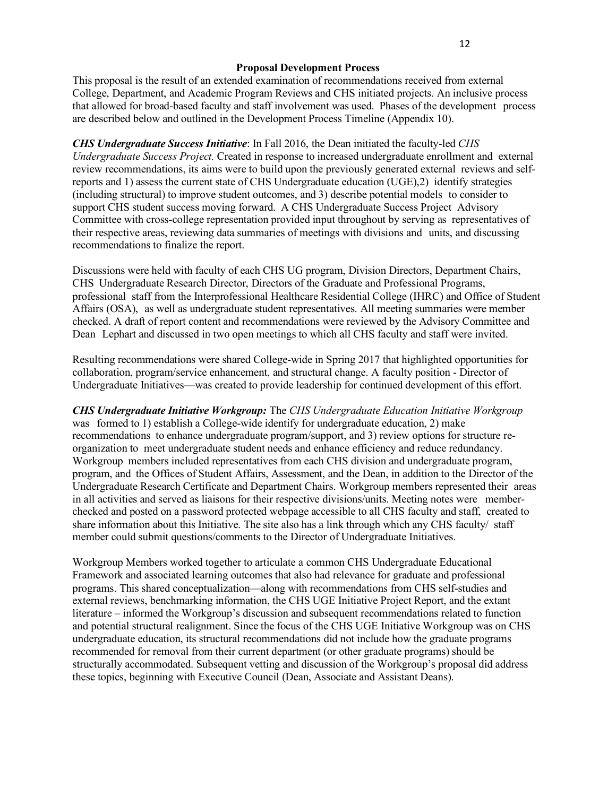### **Proposal Development Process**

This proposal is the result of an extended examination of recommendations received from external College, Department, and Academic Program Reviews and CHS initiated projects. An inclusive process that allowed for broad-based faculty and staff involvement was used. Phases of the development process are described below and outlined in the Development Process Timeline (Appendix 10).

*CHS Undergraduate Success Initiative*: In Fall 2016, the Dean initiated the faculty-led *CHS Undergraduate Success Project.* Created in response to increased undergraduate enrollment and external review recommendations, its aims were to build upon the previously generated external reviews and selfreports and 1) assess the current state of CHS Undergraduate education (UGE),2) identify strategies (including structural) to improve student outcomes, and 3) describe potential models to consider to support CHS student success moving forward. A CHS Undergraduate Success Project Advisory Committee with cross-college representation provided input throughout by serving as representatives of their respective areas, reviewing data summaries of meetings with divisions and units, and discussing recommendations to finalize the report.

Discussions were held with faculty of each CHS UG program, Division Directors, Department Chairs, CHS Undergraduate Research Director, Directors of the Graduate and Professional Programs, professional staff from the Interprofessional Healthcare Residential College (IHRC) and Office of Student Affairs (OSA), as well as undergraduate student representatives. All meeting summaries were member checked. A draft of report content and recommendations were reviewed by the Advisory Committee and Dean Lephart and discussed in two open meetings to which all CHS faculty and staff were invited.

Resulting recommendations were shared College-wide in Spring 2017 that highlighted opportunities for collaboration, program/service enhancement, and structural change. A faculty position - Director of Undergraduate Initiatives—was created to provide leadership for continued development of this effort.

*CHS Undergraduate Initiative Workgroup:* The *CHS Undergraduate Education Initiative Workgroup*  was formed to 1) establish a College-wide identify for undergraduate education, 2) make recommendations to enhance undergraduate program/support, and 3) review options for structure reorganization to meet undergraduate student needs and enhance efficiency and reduce redundancy. Workgroup members included representatives from each CHS division and undergraduate program, program, and the Offices of Student Affairs, Assessment, and the Dean, in addition to the Director of the Undergraduate Research Certificate and Department Chairs. Workgroup members represented their areas in all activities and served as liaisons for their respective divisions/units. Meeting notes were memberchecked and posted on a password protected webpage accessible to all CHS faculty and staff, created to share information about this Initiative. The site also has a link through which any CHS faculty/ staff member could submit questions/comments to the Director of Undergraduate Initiatives.

Workgroup Members worked together to articulate a common CHS Undergraduate Educational Framework and associated learning outcomes that also had relevance for graduate and professional programs. This shared conceptualization—along with recommendations from CHS self-studies and external reviews, benchmarking information, the CHS UGE Initiative Project Report, and the extant literature – informed the Workgroup's discussion and subsequent recommendations related to function and potential structural realignment. Since the focus of the CHS UGE Initiative Workgroup was on CHS undergraduate education, its structural recommendations did not include how the graduate programs recommended for removal from their current department (or other graduate programs) should be structurally accommodated. Subsequent vetting and discussion of the Workgroup's proposal did address these topics, beginning with Executive Council (Dean, Associate and Assistant Deans).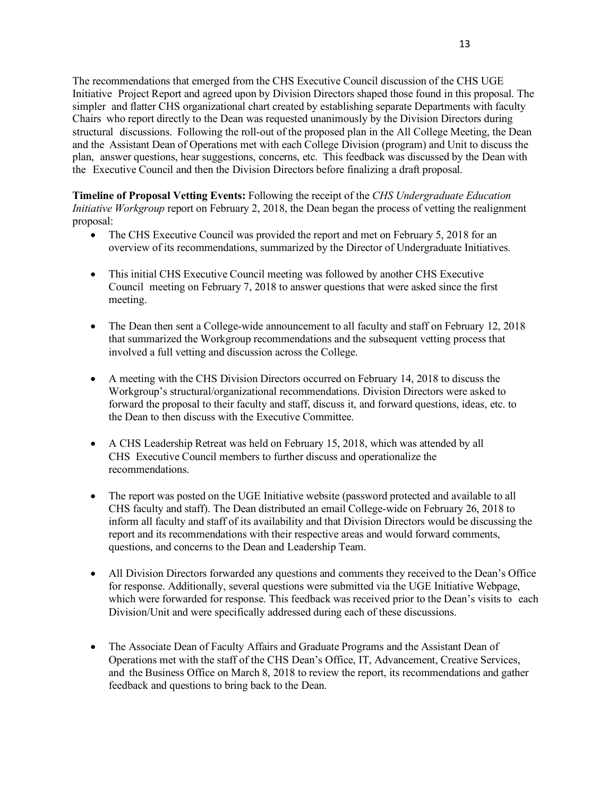The recommendations that emerged from the CHS Executive Council discussion of the CHS UGE Initiative Project Report and agreed upon by Division Directors shaped those found in this proposal. The simpler and flatter CHS organizational chart created by establishing separate Departments with faculty Chairs who report directly to the Dean was requested unanimously by the Division Directors during structural discussions. Following the roll-out of the proposed plan in the All College Meeting, the Dean and the Assistant Dean of Operations met with each College Division (program) and Unit to discuss the plan, answer questions, hear suggestions, concerns, etc. This feedback was discussed by the Dean with the Executive Council and then the Division Directors before finalizing a draft proposal.

**Timeline of Proposal Vetting Events:** Following the receipt of the *CHS Undergraduate Education Initiative Workgroup* report on February 2, 2018, the Dean began the process of vetting the realignment proposal:

- The CHS Executive Council was provided the report and met on February 5, 2018 for an overview of its recommendations, summarized by the Director of Undergraduate Initiatives.
- This initial CHS Executive Council meeting was followed by another CHS Executive Council meeting on February 7, 2018 to answer questions that were asked since the first meeting.
- The Dean then sent a College-wide announcement to all faculty and staff on February 12, 2018 that summarized the Workgroup recommendations and the subsequent vetting process that involved a full vetting and discussion across the College.
- A meeting with the CHS Division Directors occurred on February 14, 2018 to discuss the Workgroup's structural/organizational recommendations. Division Directors were asked to forward the proposal to their faculty and staff, discuss it, and forward questions, ideas, etc. to the Dean to then discuss with the Executive Committee.
- A CHS Leadership Retreat was held on February 15, 2018, which was attended by all CHS Executive Council members to further discuss and operationalize the recommendations.
- The report was posted on the UGE Initiative website (password protected and available to all CHS faculty and staff). The Dean distributed an email College-wide on February 26, 2018 to inform all faculty and staff of its availability and that Division Directors would be discussing the report and its recommendations with their respective areas and would forward comments, questions, and concerns to the Dean and Leadership Team.
- All Division Directors forwarded any questions and comments they received to the Dean's Office for response. Additionally, several questions were submitted via the UGE Initiative Webpage, which were forwarded for response. This feedback was received prior to the Dean's visits to each Division/Unit and were specifically addressed during each of these discussions.
- The Associate Dean of Faculty Affairs and Graduate Programs and the Assistant Dean of Operations met with the staff of the CHS Dean's Office, IT, Advancement, Creative Services, and the Business Office on March 8, 2018 to review the report, its recommendations and gather feedback and questions to bring back to the Dean.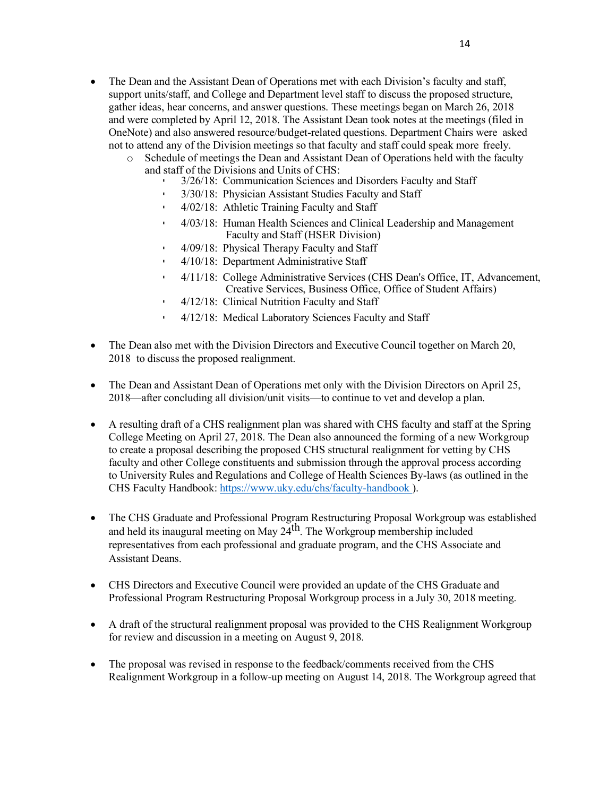- The Dean and the Assistant Dean of Operations met with each Division's faculty and staff, support units/staff, and College and Department level staff to discuss the proposed structure, gather ideas, hear concerns, and answer questions. These meetings began on March 26, 2018 and were completed by April 12, 2018. The Assistant Dean took notes at the meetings (filed in OneNote) and also answered resource/budget-related questions. Department Chairs were asked not to attend any of the Division meetings so that faculty and staff could speak more freely.
	- o Schedule of meetings the Dean and Assistant Dean of Operations held with the faculty and staff of the Divisions and Units of CHS:
		- 3/26/18: Communication Sciences and Disorders Faculty and Staff
		- 3/30/18: Physician Assistant Studies Faculty and Staff
		- 4/02/18: Athletic Training Faculty and Staff
		- 4/03/18: Human Health Sciences and Clinical Leadership and Management Faculty and Staff (HSER Division)
		- 4/09/18: Physical Therapy Faculty and Staff
		- 4/10/18: Department Administrative Staff
		- 4/11/18: College Administrative Services (CHS Dean's Office, IT, Advancement, Creative Services, Business Office, Office of Student Affairs)
		- 4/12/18: Clinical Nutrition Faculty and Staff
		- 4/12/18: Medical Laboratory Sciences Faculty and Staff
- The Dean also met with the Division Directors and Executive Council together on March 20, 2018 to discuss the proposed realignment.
- The Dean and Assistant Dean of Operations met only with the Division Directors on April 25, 2018—after concluding all division/unit visits—to continue to vet and develop a plan.
- A resulting draft of a CHS realignment plan was shared with CHS faculty and staff at the Spring College Meeting on April 27, 2018. The Dean also announced the forming of a new Workgroup to create a proposal describing the proposed CHS structural realignment for vetting by CHS faculty and other College constituents and submission through the approval process according to University Rules and Regulations and College of Health Sciences By-laws (as outlined in the CHS Faculty Handbook: https://www.uky.edu/chs/faculty-handbook ).
- The CHS Graduate and Professional Program Restructuring Proposal Workgroup was established and held its inaugural meeting on May  $24$ <sup>th</sup>. The Workgroup membership included representatives from each professional and graduate program, and the CHS Associate and Assistant Deans.
- CHS Directors and Executive Council were provided an update of the CHS Graduate and Professional Program Restructuring Proposal Workgroup process in a July 30, 2018 meeting.
- A draft of the structural realignment proposal was provided to the CHS Realignment Workgroup for review and discussion in a meeting on August 9, 2018.
- The proposal was revised in response to the feedback/comments received from the CHS Realignment Workgroup in a follow-up meeting on August 14, 2018. The Workgroup agreed that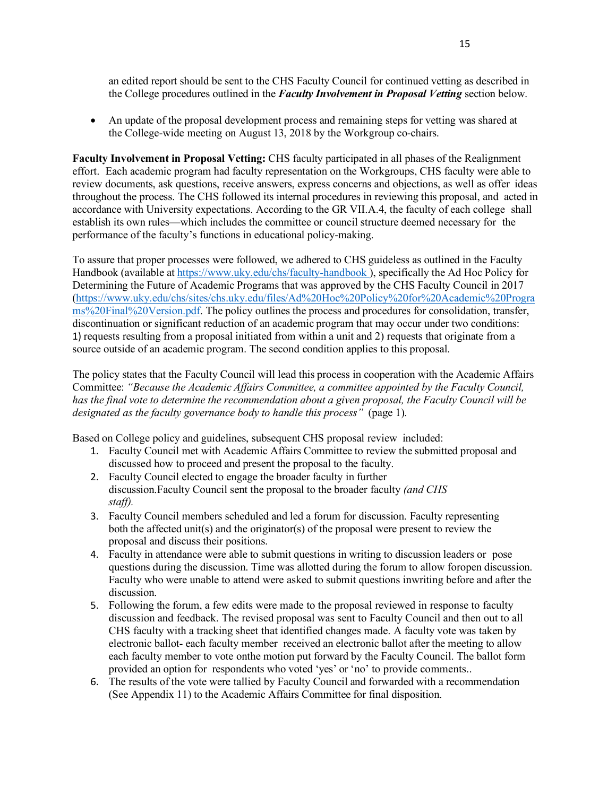an edited report should be sent to the CHS Faculty Council for continued vetting as described in the College procedures outlined in the *Faculty Involvement in Proposal Vetting* section below.

• An update of the proposal development process and remaining steps for vetting was shared at the College-wide meeting on August 13, 2018 by the Workgroup co-chairs.

**Faculty Involvement in Proposal Vetting:** CHS faculty participated in all phases of the Realignment effort. Each academic program had faculty representation on the Workgroups, CHS faculty were able to review documents, ask questions, receive answers, express concerns and objections, as well as offer ideas throughout the process. The CHS followed its internal procedures in reviewing this proposal, and acted in accordance with University expectations. According to the GR VII.A.4, the faculty of each college shall establish its own rules—which includes the committee or council structure deemed necessary for the performance of the faculty's functions in educational policy-making.

To assure that proper processes were followed, we adhered to CHS guideless as outlined in the Faculty Handbook (available at https://www.uky.edu/chs/faculty-handbook ), specifically the Ad Hoc Policy for Determining the Future of Academic Programs that was approved by the CHS Faculty Council in 2017 (https://www.uky.edu/chs/sites/chs.uky.edu/files/Ad%20Hoc%20Policy%20for%20Academic%20Progra ms%20Final%20Version.pdf. The policy outlines the process and procedures for consolidation, transfer, discontinuation or significant reduction of an academic program that may occur under two conditions: 1) requests resulting from a proposal initiated from within a unit and 2) requests that originate from a source outside of an academic program. The second condition applies to this proposal.

The policy states that the Faculty Council will lead this process in cooperation with the Academic Affairs Committee: *"Because the Academic Affairs Committee, a committee appointed by the Faculty Council, has the final vote to determine the recommendation about a given proposal, the Faculty Council will be designated as the faculty governance body to handle this process"* (page 1).

Based on College policy and guidelines, subsequent CHS proposal review included:

- 1. Faculty Council met with Academic Affairs Committee to review the submitted proposal and discussed how to proceed and present the proposal to the faculty.
- 2. Faculty Council elected to engage the broader faculty in further discussion.Faculty Council sent the proposal to the broader faculty *(and CHS staff).*
- 3. Faculty Council members scheduled and led a forum for discussion. Faculty representing both the affected unit(s) and the originator(s) of the proposal were present to review the proposal and discuss their positions.
- 4. Faculty in attendance were able to submit questions in writing to discussion leaders or pose questions during the discussion. Time was allotted during the forum to allow foropen discussion. Faculty who were unable to attend were asked to submit questions inwriting before and after the discussion.
- 5. Following the forum, a few edits were made to the proposal reviewed in response to faculty discussion and feedback. The revised proposal was sent to Faculty Council and then out to all CHS faculty with a tracking sheet that identified changes made. A faculty vote was taken by electronic ballot- each faculty member received an electronic ballot after the meeting to allow each faculty member to vote onthe motion put forward by the Faculty Council. The ballot form provided an option for respondents who voted 'yes' or 'no' to provide comments..
- 6. The results of the vote were tallied by Faculty Council and forwarded with a recommendation (See Appendix 11) to the Academic Affairs Committee for final disposition.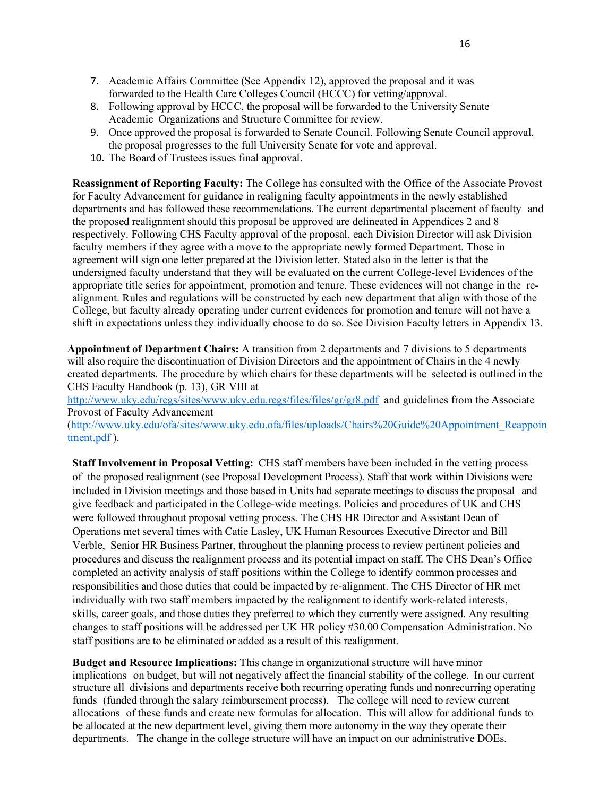- 7. Academic Affairs Committee (See Appendix 12), approved the proposal and it was forwarded to the Health Care Colleges Council (HCCC) for vetting/approval.
- 8. Following approval by HCCC, the proposal will be forwarded to the University Senate Academic Organizations and Structure Committee for review.
- 9. Once approved the proposal is forwarded to Senate Council. Following Senate Council approval, the proposal progresses to the full University Senate for vote and approval.
- 10. The Board of Trustees issues final approval.

**Reassignment of Reporting Faculty:** The College has consulted with the Office of the Associate Provost for Faculty Advancement for guidance in realigning faculty appointments in the newly established departments and has followed these recommendations. The current departmental placement of faculty and the proposed realignment should this proposal be approved are delineated in Appendices 2 and 8 respectively. Following CHS Faculty approval of the proposal, each Division Director will ask Division faculty members if they agree with a move to the appropriate newly formed Department. Those in agreement will sign one letter prepared at the Division letter. Stated also in the letter is that the undersigned faculty understand that they will be evaluated on the current College-level Evidences of the appropriate title series for appointment, promotion and tenure. These evidences will not change in the realignment. Rules and regulations will be constructed by each new department that align with those of the College, but faculty already operating under current evidences for promotion and tenure will not have a shift in expectations unless they individually choose to do so. See Division Faculty letters in Appendix 13.

**Appointment of Department Chairs:** A transition from 2 departments and 7 divisions to 5 departments will also require the discontinuation of Division Directors and the appointment of Chairs in the 4 newly created departments. The procedure by which chairs for these departments will be selected is outlined in the CHS Faculty Handbook (p. 13), GR VIII at

http://www.uky.edu/regs/sites/www.uky.edu.regs/files/files/gr/gr8.pdf and guidelines from the Associate Provost of Faculty Advancement

(http://www.uky.edu/ofa/sites/www.uky.edu.ofa/files/uploads/Chairs%20Guide%20Appointment\_Reappoin tment.pdf ).

**Staff Involvement in Proposal Vetting:** CHS staff members have been included in the vetting process of the proposed realignment (see Proposal Development Process). Staff that work within Divisions were included in Division meetings and those based in Units had separate meetings to discuss the proposal and give feedback and participated in the College-wide meetings. Policies and procedures of UK and CHS were followed throughout proposal vetting process. The CHS HR Director and Assistant Dean of Operations met several times with Catie Lasley, UK Human Resources Executive Director and Bill Verble, Senior HR Business Partner, throughout the planning process to review pertinent policies and procedures and discuss the realignment process and its potential impact on staff. The CHS Dean's Office completed an activity analysis of staff positions within the College to identify common processes and responsibilities and those duties that could be impacted by re-alignment. The CHS Director of HR met individually with two staff members impacted by the realignment to identify work-related interests, skills, career goals, and those duties they preferred to which they currently were assigned. Any resulting changes to staff positions will be addressed per UK HR policy #30.00 Compensation Administration. No staff positions are to be eliminated or added as a result of this realignment.

**Budget and Resource Implications:** This change in organizational structure will have minor implications on budget, but will not negatively affect the financial stability of the college. In our current structure all divisions and departments receive both recurring operating funds and nonrecurring operating funds (funded through the salary reimbursement process). The college will need to review current allocations of these funds and create new formulas for allocation. This will allow for additional funds to be allocated at the new department level, giving them more autonomy in the way they operate their departments. The change in the college structure will have an impact on our administrative DOEs.